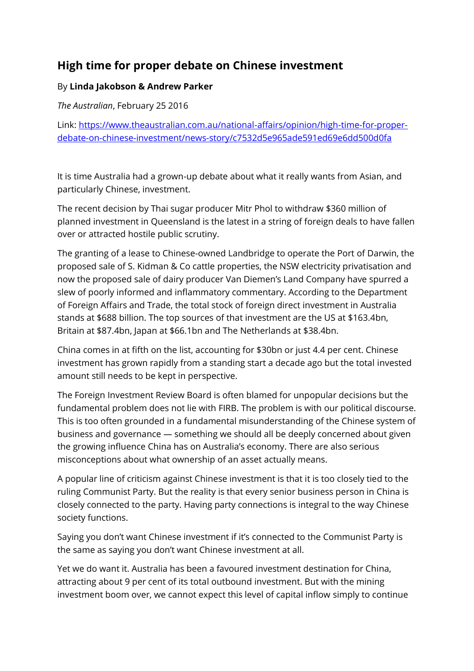## **High time for proper debate on Chinese investment**

## By **Linda Jakobson & Andrew Parker**

*The Australian*, February 25 2016

Link: [https://www.theaustralian.com.au/national-affairs/opinion/high-time-for-proper](https://www.theaustralian.com.au/national-affairs/opinion/high-time-for-proper-debate-on-chinese-investment/news-story/c7532d5e965ade591ed69e6dd500d0fa)[debate-on-chinese-investment/news-story/c7532d5e965ade591ed69e6dd500d0fa](https://www.theaustralian.com.au/national-affairs/opinion/high-time-for-proper-debate-on-chinese-investment/news-story/c7532d5e965ade591ed69e6dd500d0fa)

It is time Australia had a grown-up debate about what it really wants from Asian, and particularly Chinese, investment.

The recent decision by Thai sugar producer Mitr Phol to withdraw \$360 million of planned investment in Queensland is the latest in a string of foreign deals to have fallen over or attracted hostile public scrutiny.

The granting of a lease to Chinese-owned Landbridge to operate the Port of Darwin, the proposed sale of S. Kidman & Co cattle properties, the NSW electricity privatisation and now the proposed sale of dairy producer Van Diemen's Land Company have spurred a slew of poorly informed and inflammatory commentary. According to the Department of Foreign Affairs and Trade, the total stock of foreign direct investment in Australia stands at \$688 billion. The top sources of that investment are the US at \$163.4bn, Britain at \$87.4bn, Japan at \$66.1bn and The Netherlands at \$38.4bn.

China comes in at fifth on the list, accounting for \$30bn or just 4.4 per cent. Chinese investment has grown rapidly from a standing start a decade ago but the total invested amount still needs to be kept in perspective.

The Foreign Investment Review Board is often blamed for unpopular decisions but the fundamental problem does not lie with FIRB. The problem is with our political discourse. This is too often grounded in a fundamental misunderstanding of the Chinese system of business and governance — something we should all be deeply concerned about given the growing influence China has on Australia's economy. There are also serious misconceptions about what ownership of an asset actually means.

A popular line of criticism against Chinese investment is that it is too closely tied to the ruling Communist Party. But the reality is that every senior business person in China is closely connected to the party. Having party connections is integral to the way Chinese society functions.

Saying you don't want Chinese investment if it's connected to the Communist Party is the same as saying you don't want Chinese investment at all.

Yet we do want it. Australia has been a favoured investment destination for China, attracting about 9 per cent of its total outbound investment. But with the mining investment boom over, we cannot expect this level of capital inflow simply to continue